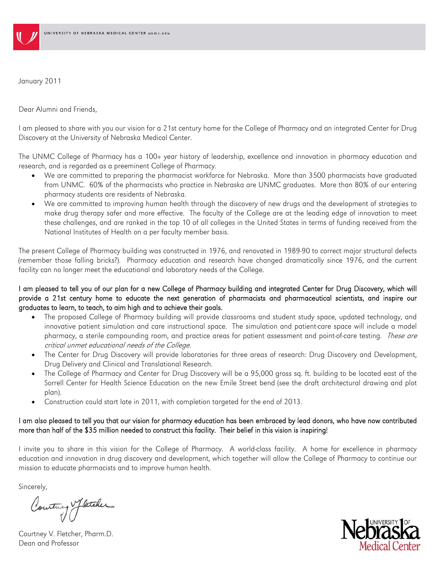

January 2011

Dear Alumni and Friends,

I am pleased to share with you our vision for a 21st century home for the College of Pharmacy and an integrated Center for Drug Discovery at the University of Nebraska Medical Center.

The UNMC College of Pharmacy has a 100+ year history of leadership, excellence and innovation in pharmacy education and research, and is regarded as a preeminent College of Pharmacy.

- We are committed to preparing the pharmacist workforce for Nebraska. More than 3500 pharmacists have graduated from UNMC. 60% of the pharmacists who practice in Nebraska are UNMC graduates. More than 80% of our entering pharmacy students are residents of Nebraska.
- We are committed to improving human health through the discovery of new drugs and the development of strategies to make drug therapy safer and more effective. The faculty of the College are at the leading edge of innovation to meet these challenges, and are ranked in the top 10 of all colleges in the United States in terms of funding received from the National Institutes of Health on a per faculty member basis.

The present College of Pharmacy building was constructed in 1976, and renovated in 1989-90 to correct major structural defects (remember those falling bricks?). Pharmacy education and research have changed dramatically since 1976, and the current facility can no longer meet the educational and laboratory needs of the College.

I am pleased to tell you of our plan for a new College of Pharmacy building and integrated Center for Drug Discovery, which will provide a 21st century home to educate the next generation of pharmacists and pharmaceutical scientists, and inspire our graduates to learn, to teach, to aim high and to achieve their goals.

- The proposed College of Pharmacy building will provide classrooms and student study space, updated technology, and innovative patient simulation and care instructional space. The simulation and patient-care space will include a model pharmacy, a sterile compounding room, and practice areas for patient assessment and point-of-care testing. These are critical unmet educational needs of the College.
- The Center for Drug Discovery will provide laboratories for three areas of research: Drug Discovery and Development, Drug Delivery and Clinical and Translational Research.
- The College of Pharmacy and Center for Drug Discovery will be a 95,000 gross sq. ft. building to be located east of the Sorrell Center for Health Science Education on the new Emile Street bend (see the draft architectural drawing and plot plan).
- Construction could start late in 2011, with completion targeted for the end of 2013.

## I am also pleased to tell you that our vision for pharmacy education has been embraced by lead donors, who have now contributed more than half of the \$35 million needed to construct this facility. Their belief in this vision is inspiring!

I invite you to share in this vision for the College of Pharmacy. A world-class facility. A home for excellence in pharmacy education and innovation in drug discovery and development, which together will allow the College of Pharmacy to continue our mission to educate pharmacists and to improve human health.

Sincerely,

Country of letcher

Courtney V. Fletcher, Pharm.D. Dean and Professor